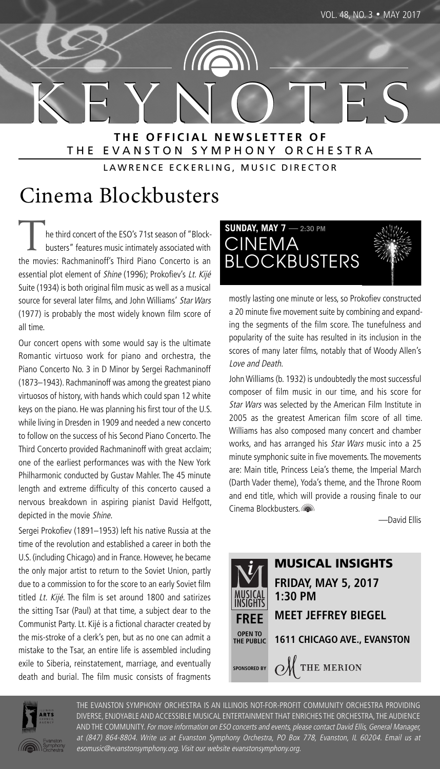

K E Y N O T E S **T H E O F F I C I A L N E W S L E T T E R O F** THE EVANSTON SYMPHONY ORCHESTRA

LAWRENCE ECKERLING, MUSIC DIRECTOR

## Cinema Blockbusters

he third concert of the ESO's 71st season of "Blockbusters" features music intimately associated with the movies: Rachmaninoff's Third Piano Concerto is an essential plot element of Shine (1996); Prokofiev's Lt. Kijé Suite (1934) is both original film music as well as a musical source for several later films, and John Williams' Star Wars (1977) is probably the most widely known film score of all time.

Our concert opens with some would say is the ultimate Romantic virtuoso work for piano and orchestra, the Piano Concerto No. 3 in D Minor by Sergei Rachmaninoff (1873–1943). Rachmaninoff was among the greatest piano virtuosos of history, with hands which could span 12 white keys on the piano. He was planning his first tour of the U.S. while living in Dresden in 1909 and needed a new concerto to follow on the success of his Second Piano Concerto. The Third Concerto provided Rachmaninoff with great acclaim; one of the earliest performances was with the New York Philharmonic conducted by Gustav Mahler. The 45 minute length and extreme difficulty of this concerto caused a nervous breakdown in aspiring pianist David Helfgott, depicted in the movie Shine.

Sergei Prokofiev (1891–1953) left his native Russia at the time of the revolution and established a career in both the U.S. (including Chicago) and in France. However, he became the only major artist to return to the Soviet Union, partly due to a commission to for the score to an early Soviet film titled Lt. Kijé. The film is set around 1800 and satirizes the sitting Tsar (Paul) at that time, a subject dear to the Communist Party.Lt. Kijé is a fictional character created by the mis-stroke of a clerk's pen, but as no one can admit a mistake to the Tsar, an entire life is assembled including exile to Siberia, reinstatement, marriage, and eventually death and burial. The film music consists of fragments

**SUNDAY, MAY 7 — 2:30 PM** CINEMA **BLOCKBUSTERS** 



mostly lasting one minute or less, so Prokofiev constructed a 20 minute five movement suite by combining and expanding the segments of the film score. The tunefulness and popularity of the suite has resulted in its inclusion in the scores of many later films, notably that of Woody Allen's Love and Death.

John Williams (b. 1932) is undoubtedly the most successful composer of film music in our time, and his score for Star Wars was selected by the American Film Institute in 2005 as the greatest American film score of all time. Williams has also composed many concert and chamber works, and has arranged his Star Wars music into a 25 minute symphonic suite in five movements. The movements are: Main title, Princess Leia's theme, the Imperial March (Darth Vader theme), Yoda's theme, and the Throne Room and end title, which will provide a rousing finale to our Cinema Blockbusters.

—David Ellis





THE EVANSTON SYMPHONY ORCHESTRA IS AN ILLINOIS NOT-FOR-PROFIT COMMUNITY ORCHESTRA PROVIDING DIVERSE, ENJOYABLE AND ACCESSIBLE MUSICAL ENTERTAINMENT THAT ENRICHES THE ORCHESTRA, THE AUDIENCE AND THE COMMUNITY. For more information on ESO concerts and events, please contact David Ellis, General Manager, at (847) 864-8804. Write us at Evanston Symphony Orchestra, PO Box 778, Evanston, IL 60204. Email us at esomusic@evanstonsymphony.org. Visit our website evanstonsymphony.org.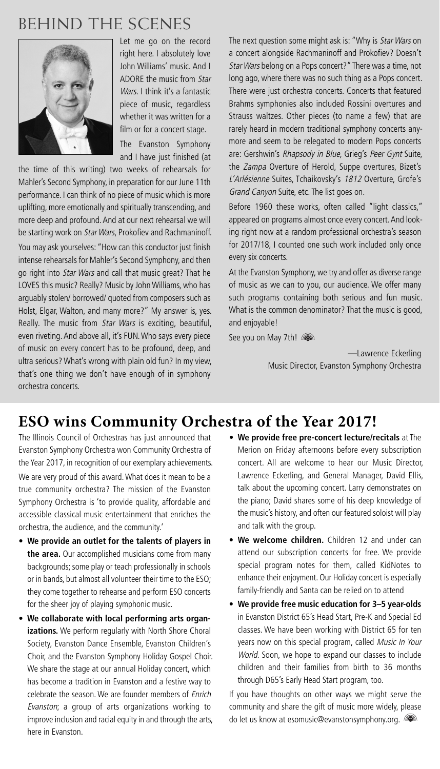## BEHIND THE SCENES



Let me go on the record right here. I absolutely love John Williams' music. And I ADORE the music from Star Wars. I think it's a fantastic piece of music, regardless whether it was written for a film or for a concert stage.

The Evanston Symphony and I have just finished (at

the time of this writing) two weeks of rehearsals for Mahler's Second Symphony, in preparation for our June 11th performance. I can think of no piece of music which is more uplifting, more emotionally and spiritually transcending, and more deep and profound.And at our next rehearsal we will be starting work on Star Wars, Prokofiev and Rachmaninoff.

You may ask yourselves: "How can this conductor just finish intense rehearsals for Mahler's Second Symphony, and then go right into Star Wars and call that music great? That he LOVES this music? Really? Music by John Williams, who has arguably stolen/ borrowed/ quoted from composers such as Holst, Elgar, Walton, and many more?" My answer is, yes. Really. The music from Star Wars is exciting, beautiful, even riveting.And above all, it's FUN.Who says every piece of music on every concert has to be profound, deep, and ultra serious? What's wrong with plain old fun? In my view, that's one thing we don't have enough of in symphony orchestra concerts.

The next question some might ask is: "Why is Star Wars on a concert alongside Rachmaninoff and Prokofiev? Doesn't Star Wars belong on a Pops concert?" There was a time, not long ago, where there was no such thing as a Pops concert. There were just orchestra concerts. Concerts that featured Brahms symphonies also included Rossini overtures and Strauss waltzes. Other pieces (to name a few) that are rarely heard in modern traditional symphony concerts anymore and seem to be relegated to modern Pops concerts are: Gershwin's Rhapsody in Blue, Grieg's Peer Gynt Suite, the Zampa Overture of Herold, Suppe overtures, Bizet's L'Arlésienne Suites, Tchaikovsky's 1812 Overture, Grofe's Grand Canyon Suite, etc. The list goes on.

Before 1960 these works, often called "light classics," appeared on programs almost once every concert.And looking right now at a random professional orchestra's season for 2017/18, I counted one such work included only once every six concerts.

At the Evanston Symphony, we try and offer as diverse range of music as we can to you, our audience. We offer many such programs containing both serious and fun music. What is the common denominator? That the music is good, and enjoyable!

See you on May 7th!

—Lawrence Eckerling Music Director, Evanston Symphony Orchestra

## **ESO wins Community Orchestra of the Year 2017!**

The Illinois Council of Orchestras has just announced that Evanston Symphony Orchestra won Community Orchestra of the Year 2017, in recognition of our exemplary achievements. We are very proud of this award.What does it mean to be a true community orchestra? The mission of the Evanston Symphony Orchestra is 'to provide quality, affordable and accessible classical music entertainment that enriches the orchestra, the audience, and the community.'

- **We provide an outlet for the talents of players in the area.** Our accomplished musicians come from many backgrounds; some play or teach professionally in schools or in bands, but almost all volunteer their time to the ESO; they come together to rehearse and perform ESO concerts for the sheer joy of playing symphonic music.
- **We collaborate with local performing arts organizations.** We perform regularly with North Shore Choral Society, Evanston Dance Ensemble, Evanston Children's Choir, and the Evanston Symphony Holiday Gospel Choir. We share the stage at our annual Holiday concert, which has become a tradition in Evanston and a festive way to celebrate the season. We are founder members of Enrich Evanston; a group of arts organizations working to improve inclusion and racial equity in and through the arts, here in Evanston.
- **We provide free pre-concert lecture/recitals** at The Merion on Friday afternoons before every subscription concert. All are welcome to hear our Music Director, Lawrence Eckerling, and General Manager, David Ellis, talk about the upcoming concert. Larry demonstrates on the piano; David shares some of his deep knowledge of the music's history, and often our featured soloist will play and talk with the group.
- **We welcome children.** Children 12 and under can attend our subscription concerts for free. We provide special program notes for them, called KidNotes to enhance their enjoyment. Our Holiday concert is especially family-friendly and Santa can be relied on to attend
- **We provide free music education for 3–5 year-olds** in Evanston District 65's Head Start, Pre-K and Special Ed classes. We have been working with District 65 for ten years now on this special program, called Music In Your World. Soon, we hope to expand our classes to include children and their families from birth to 36 months through D65's Early Head Start program, too.

If you have thoughts on other ways we might serve the community and share the gift of music more widely, please do let us know at esomusic@evanstonsymphony.org.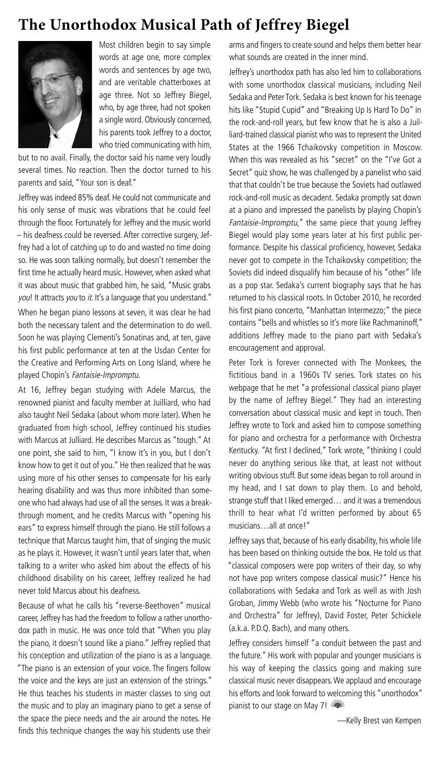## **The Unorthodox Musical Path of Jeffrey Biegel**



Most children begin to say simple words at age one, more complex words and sentences by age two, and are veritable chatterboxes at age three. Not so Jeffrey Biegel, who, by age three, had not spoken a single word. Obviously concerned, his parents took Jeffrey to a doctor, who tried communicating with him,

but to no avail. Finally, the doctor said his name very loudly several times. No reaction. Then the doctor turned to his parents and said, "Your son is deaf."

Jeffrey was indeed 85% deaf. He could not communicate and his only sense of music was vibrations that he could feel through the floor. Fortunately for Jeffrey and the music world – his deafness could be reversed.After corrective surgery, Jeffrey had a lot of catching up to do and wasted no time doing so. He was soon talking normally, but doesn't remember the first time he actually heard music. However, when asked what it was about music that grabbed him, he said, "Music grabs you! It attracts you to it. It's a language that you understand."

When he began piano lessons at seven, it was clear he had both the necessary talent and the determination to do well. Soon he was playing Clementi's Sonatinas and, at ten, gave his first public performance at ten at the Usdan Center for the Creative and Performing Arts on Long Island, where he played Chopin's Fantaisie-Impromptu.

At 16, Jeffrey began studying with Adele Marcus, the renowned pianist and faculty member at Juilliard, who had also taught Neil Sedaka (about whom more later).When he graduated from high school, Jeffrey continued his studies with Marcus at Julliard. He describes Marcus as "tough." At one point, she said to him, "I know it's in you, but I don't know how to get it out of you." He then realized that he was using more of his other senses to compensate for his early hearing disability and was thus more inhibited than someone who had always had use of all the senses. It was a breakthrough moment, and he credits Marcus with "opening his ears" to express himself through the piano. He still follows a technique that Marcus taught him, that of singing the music as he plays it. However, it wasn't until years later that, when talking to a writer who asked him about the effects of his childhood disability on his career, Jeffrey realized he had never told Marcus about his deafness.

Because of what he calls his "reverse-Beethoven" musical career, Jeffrey has had the freedom to follow a rather unorthodox path in music. He was once told that "When you play the piano, it doesn't sound like a piano." Jeffrey replied that his conception and utilization of the piano is as a language. "The piano is an extension of your voice. The fingers follow the voice and the keys are just an extension of the strings." He thus teaches his students in master classes to sing out the music and to play an imaginary piano to get a sense of the space the piece needs and the air around the notes. He finds this technique changes the way his students use their

arms and fingers to create sound and helps them better hear what sounds are created in the inner mind.

Jeffrey's unorthodox path has also led him to collaborations with some unorthodox classical musicians, including Neil Sedaka and Peter Tork. Sedaka is best known for his teenage hits like "Stupid Cupid" and "Breaking Up Is Hard To Do" in the rock-and-roll years, but few know that he is also a Juilliard-trained classical pianist who was to represent the United States at the 1966 Tchaikovsky competition in Moscow. When this was revealed as his "secret" on the "I've Got a Secret" quiz show, he was challenged by a panelist who said that that couldn't be true because the Soviets had outlawed rock-and-roll music as decadent. Sedaka promptly sat down at a piano and impressed the panelists by playing Chopin's Fantaisie-Impromptu," the same piece that young Jeffrey Biegel would play some years later at his first public performance. Despite his classical proficiency, however, Sedaka never got to compete in the Tchaikovsky competition; the Soviets did indeed disqualify him because of his "other" life as a pop star. Sedaka's current biography says that he has returned to his classical roots. In October 2010, he recorded his first piano concerto, "Manhattan Intermezzo;" the piece contains "bells and whistles so it's more like Rachmaninoff," additions Jeffrey made to the piano part with Sedaka's encouragement and approval.

Peter Tork is forever connected with The Monkees, the fictitious band in a 1960s TV series. Tork states on his webpage that he met "a professional classical piano player by the name of Jeffrey Biegel." They had an interesting conversation about classical music and kept in touch. Then Jeffrey wrote to Tork and asked him to compose something for piano and orchestra for a performance with Orchestra Kentucky. "At first I declined," Tork wrote, "thinking I could never do anything serious like that, at least not without writing obvious stuff. But some ideas began to roll around in my head, and I sat down to play them. Lo and behold, strange stuff that I liked emerged… and it was a tremendous thrill to hear what I'd written performed by about 65 musicians…all at once!"

Jeffrey says that, because of his early disability, his whole life has been based on thinking outside the box. He told us that "classical composers were pop writers of their day, so why not have pop writers compose classical music?" Hence his collaborations with Sedaka and Tork as well as with Josh Groban, Jimmy Webb (who wrote his "Nocturne for Piano and Orchestra" for Jeffrey), David Foster, Peter Schickele (a.k.a. P.D.Q. Bach), and many others.

Jeffrey considers himself "a conduit between the past and the future." His work with popular and younger musicians is his way of keeping the classics going and making sure classical music never disappears.We applaud and encourage his efforts and look forward to welcoming this "unorthodox" pianist to our stage on May 7!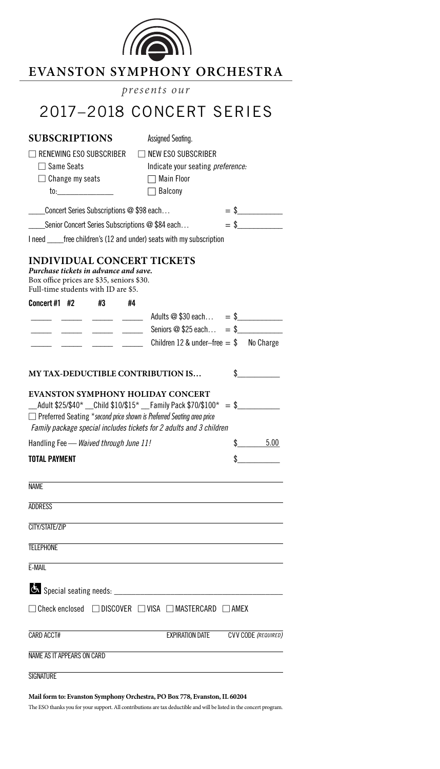

## **EVANSTON SYMPHONY ORCHESTRA**

*presents our*

## RIES

| 2017–2018 CONCERT SERIES                                                                                                                                                                                                                                                              |                    |
|---------------------------------------------------------------------------------------------------------------------------------------------------------------------------------------------------------------------------------------------------------------------------------------|--------------------|
| <b>SUBSCRIPTIONS</b><br>Assigned Seating.                                                                                                                                                                                                                                             |                    |
| $\Box$ NEW ESO SUBSCRIBER<br>$\sqcap$ renewing ESO subscriber<br>$\Box$ Same Seats<br>Indicate your seating preference:<br>$\Box$ Change my seats<br>$\Box$ Main Floor<br>$\Box$ Balcony                                                                                              |                    |
| ____Concert Series Subscriptions @ \$98 each                                                                                                                                                                                                                                          | $=$ \$             |
| Senior Concert Series Subscriptions @ \$84 each                                                                                                                                                                                                                                       | $=$ \$             |
| I need free children's (12 and under) seats with my subscription                                                                                                                                                                                                                      |                    |
| <b>INDIVIDUAL CONCERT TICKETS</b><br>Purchase tickets in advance and save.<br>Box office prices are \$35, seniors \$30.<br>Full-time students with ID are \$5.                                                                                                                        |                    |
| Concert #1 $#2$<br>#3<br>#4                                                                                                                                                                                                                                                           |                    |
| __ _____ ____ ____ Adults @ \$30 each = \$_________                                                                                                                                                                                                                                   |                    |
| $\frac{1}{1}$ $\frac{1}{1}$ $\frac{1}{1}$ $\frac{1}{1}$ Seniors @ \$25 each = \$                                                                                                                                                                                                      |                    |
| Children 12 & under-free $= $$ No Charge                                                                                                                                                                                                                                              |                    |
| MY TAX-DEDUCTIBLE CONTRIBUTION IS                                                                                                                                                                                                                                                     | $\sim$             |
| <b>EVANSTON SYMPHONY HOLIDAY CONCERT</b><br>$\_$ Adult \$25/\$40* $\_$ Child \$10/\$15* $\_$ Family Pack \$70/\$100* = \$ $\_$<br>$\Box$ Preferred Seating *second price shown is Preferred Seating area price<br>Family package special includes tickets for 2 adults and 3 children |                    |
| Handling Fee - Waived through June 11!                                                                                                                                                                                                                                                | \$ 5.00            |
| <b>TOTAL PAYMENT</b>                                                                                                                                                                                                                                                                  | $\mathbf{\hat{s}}$ |
| <b>NAME</b>                                                                                                                                                                                                                                                                           |                    |
| <b>ADDRESS</b>                                                                                                                                                                                                                                                                        |                    |

CITY/STATE/ZIP

**TELEPHONE** 

E-MAIL

| E-IVIAIL                                                                        |  |                 |                            |
|---------------------------------------------------------------------------------|--|-----------------|----------------------------|
|                                                                                 |  |                 |                            |
| $\Box$ Check enclosed $\Box$ DISCOVER $\Box$ VISA $\Box$ MASTERCARD $\Box$ AMEX |  |                 |                            |
| CARD ACCT#                                                                      |  | EXPIRATION DATE | <b>CVV CODE (REQUIRED)</b> |
| NAME AS IT APPEARS ON CARD                                                      |  |                 |                            |

**SIGNATURE** 

### **Mail form to: Evanston Symphony Orchestra, PO Box 778, Evanston,IL 60204**

The ESO thanks you for your support. All contributions are tax deductible and will be listed in the concert program.